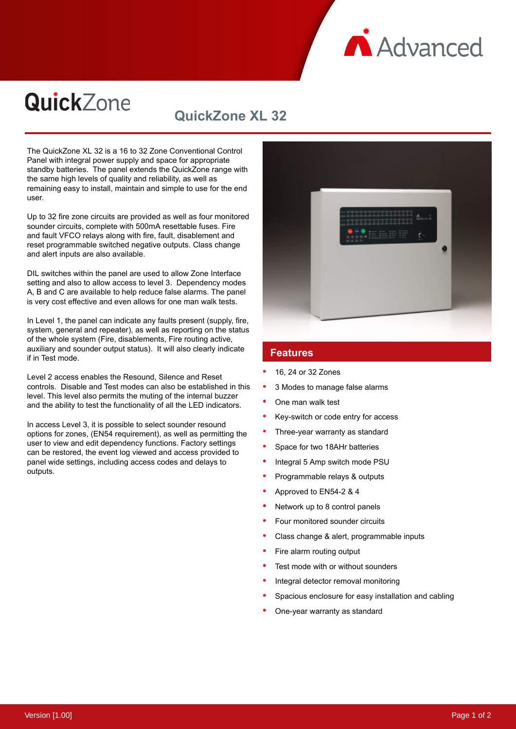

# QuickZone

## **QuickZone XL 32**

The QuickZone XL 32 is a 16 to 32 Zone Conventional Control Panel with integral power supply and space for appropriate standby batteries. The panel extends the QuickZone range with the same high levels of quality and reliability, as well as remaining easy to install, maintain and simple to use for the end user.

Up to 32 fire zone circuits are provided as well as four monitored sounder circuits, complete with 500mA resettable fuses. Fire and fault VFCO relays along with fire, fault, disablement and reset programmable switched negative outputs. Class change and alert inputs are also available.

DIL switches within the panel are used to allow Zone Interface setting and also to allow access to level 3. Dependency modes A, B and C are available to help reduce false alarms. The panel is very cost effective and even allows for one man walk tests.

In Level 1, the panel can indicate any faults present (supply, fire, system, general and repeater), as well as reporting on the status of the whole system (Fire, disablements, Fire routing active, auxiliary and sounder output status). It will also clearly indicate if in Test mode.

Level 2 access enables the Resound, Silence and Reset controls. Disable and Test modes can also be established in this level. This level also permits the muting of the internal buzzer and the ability to test the functionality of all the LED indicators.

In access Level 3, it is possible to select sounder resound options for zones, (EN54 requirement), as well as permitting the user to view and edit dependency functions. Factory settings can be restored, the event log viewed and access provided to panel wide settings, including access codes and delays to outputs.



#### **Features**

- 16, 24 or 32 Zones
- 3 Modes to manage false alarms
- One man walk test
- Key-switch or code entry for access
- Three-year warranty as standard
- Space for two 18AHr batteries
- Integral 5 Amp switch mode PSU
- Programmable relays & outputs
- Approved to EN54-2 & 4
- Network up to 8 control panels
- Four monitored sounder circuits
- Class change & alert, programmable inputs
- Fire alarm routing output
- Test mode with or without sounders
- Integral detector removal monitoring
- Spacious enclosure for easy installation and cabling
- One-year warranty as standard